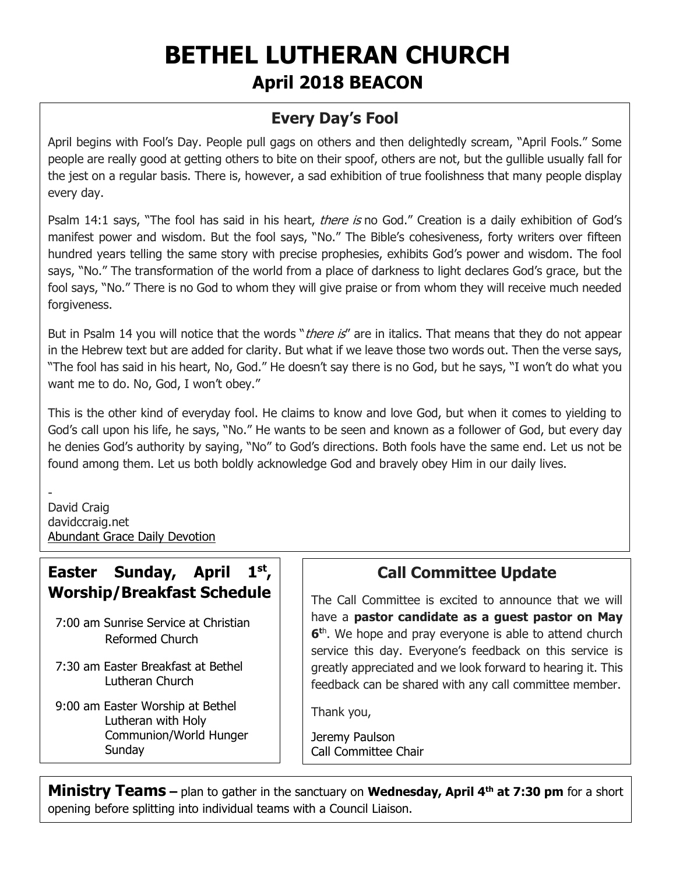# **BETHEL LUTHERAN CHURCH April 2018 BEACON**

## **Every Day's Fool**

April begins with Fool's Day. People pull gags on others and then delightedly scream, "April Fools." Some people are really good at getting others to bite on their spoof, others are not, but the gullible usually fall for the jest on a regular basis. There is, however, a sad exhibition of true foolishness that many people display every day.

Psalm 14:1 says, "The fool has said in his heart, *there is* no God." Creation is a daily exhibition of God's manifest power and wisdom. But the fool says, "No." The Bible's cohesiveness, forty writers over fifteen hundred years telling the same story with precise prophesies, exhibits God's power and wisdom. The fool says, "No." The transformation of the world from a place of darkness to light declares God's grace, but the fool says, "No." There is no God to whom they will give praise or from whom they will receive much needed forgiveness.

But in Psalm 14 you will notice that the words "*there is*" are in italics. That means that they do not appear in the Hebrew text but are added for clarity. But what if we leave those two words out. Then the verse says, "The fool has said in his heart, No, God." He doesn't say there is no God, but he says, "I won't do what you want me to do. No, God, I won't obey."

This is the other kind of everyday fool. He claims to know and love God, but when it comes to yielding to God's call upon his life, he says, "No." He wants to be seen and known as a follower of God, but every day he denies God's authority by saying, "No" to God's directions. Both fools have the same end. Let us not be found among them. Let us both boldly acknowledge God and bravely obey Him in our daily lives.

- David Craig davidccraig.net [Abundant Grace Daily Devotion](http://adoringgrace.blogspot.com/)

## **Easter Sunday, April 1st , Worship/Breakfast Schedule**

- 7:00 am Sunrise Service at Christian Reformed Church
- 7:30 am Easter Breakfast at Bethel Lutheran Church
- 9:00 am Easter Worship at Bethel Lutheran with Holy Communion/World Hunger Sunday

# **Call Committee Update**

The Call Committee is excited to announce that we will have a **pastor candidate as a guest pastor on May 6 t**h . We hope and pray everyone is able to attend church service this day. Everyone's feedback on this service is greatly appreciated and we look forward to hearing it. This feedback can be shared with any call committee member.

Thank you,

Jeremy Paulson Call Committee Chair

**Ministry Teams –** plan to gather in the sanctuary on **Wednesday, April 4th at 7:30 pm** for a short opening before splitting into individual teams with a Council Liaison.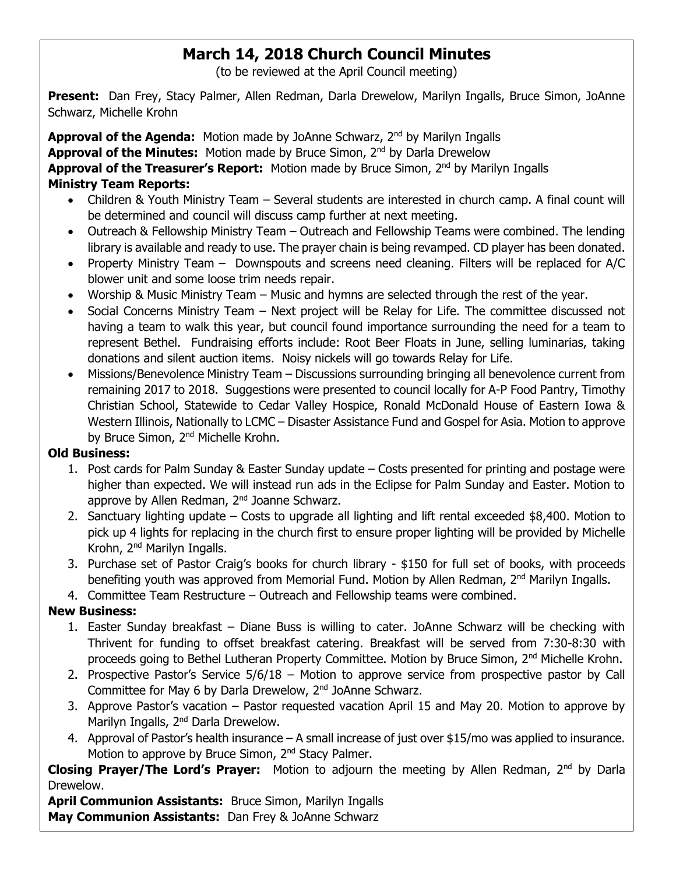# **March 14, 2018 Church Council Minutes**

(to be reviewed at the April Council meeting)

**Present:** Dan Frey, Stacy Palmer, Allen Redman, Darla Drewelow, Marilyn Ingalls, Bruce Simon, JoAnne Schwarz, Michelle Krohn

**Approval of the Agenda:** Motion made by JoAnne Schwarz, 2nd by Marilyn Ingalls **Approval of the Minutes:** Motion made by Bruce Simon, 2<sup>nd</sup> by Darla Drewelow Approval of the Treasurer's Report: Motion made by Bruce Simon, 2<sup>nd</sup> by Marilyn Ingalls **Ministry Team Reports:** 

- Children & Youth Ministry Team Several students are interested in church camp. A final count will be determined and council will discuss camp further at next meeting.
- Outreach & Fellowship Ministry Team Outreach and Fellowship Teams were combined. The lending library is available and ready to use. The prayer chain is being revamped. CD player has been donated.
- Property Ministry Team Downspouts and screens need cleaning. Filters will be replaced for A/C blower unit and some loose trim needs repair.
- Worship & Music Ministry Team Music and hymns are selected through the rest of the year.
- Social Concerns Ministry Team Next project will be Relay for Life. The committee discussed not having a team to walk this year, but council found importance surrounding the need for a team to represent Bethel. Fundraising efforts include: Root Beer Floats in June, selling luminarias, taking donations and silent auction items. Noisy nickels will go towards Relay for Life.
- Missions/Benevolence Ministry Team Discussions surrounding bringing all benevolence current from remaining 2017 to 2018. Suggestions were presented to council locally for A-P Food Pantry, Timothy Christian School, Statewide to Cedar Valley Hospice, Ronald McDonald House of Eastern Iowa & Western Illinois, Nationally to LCMC – Disaster Assistance Fund and Gospel for Asia. Motion to approve by Bruce Simon, 2<sup>nd</sup> Michelle Krohn.

#### **Old Business:**

- 1. Post cards for Palm Sunday & Easter Sunday update Costs presented for printing and postage were higher than expected. We will instead run ads in the Eclipse for Palm Sunday and Easter. Motion to approve by Allen Redman, 2<sup>nd</sup> Joanne Schwarz.
- 2. Sanctuary lighting update Costs to upgrade all lighting and lift rental exceeded \$8,400. Motion to pick up 4 lights for replacing in the church first to ensure proper lighting will be provided by Michelle Krohn, 2nd Marilyn Ingalls.
- 3. Purchase set of Pastor Craig's books for church library \$150 for full set of books, with proceeds benefiting youth was approved from Memorial Fund. Motion by Allen Redman, 2<sup>nd</sup> Marilyn Ingalls.
- 4. Committee Team Restructure Outreach and Fellowship teams were combined.

#### **New Business:**

- 1. Easter Sunday breakfast Diane Buss is willing to cater. JoAnne Schwarz will be checking with Thrivent for funding to offset breakfast catering. Breakfast will be served from 7:30-8:30 with proceeds going to Bethel Lutheran Property Committee. Motion by Bruce Simon, 2<sup>nd</sup> Michelle Krohn.
- 2. Prospective Pastor's Service 5/6/18 Motion to approve service from prospective pastor by Call Committee for May 6 by Darla Drewelow, 2nd JoAnne Schwarz.
- 3. Approve Pastor's vacation Pastor requested vacation April 15 and May 20. Motion to approve by Marilyn Ingalls, 2<sup>nd</sup> Darla Drewelow.
- 4. Approval of Pastor's health insurance A small increase of just over \$15/mo was applied to insurance. Motion to approve by Bruce Simon, 2<sup>nd</sup> Stacy Palmer.

**Closing Prayer/The Lord's Prayer:** Motion to adjourn the meeting by Allen Redman, 2nd by Darla Drewelow.

**April Communion Assistants:** Bruce Simon, Marilyn Ingalls **May Communion Assistants:** Dan Frey & JoAnne Schwarz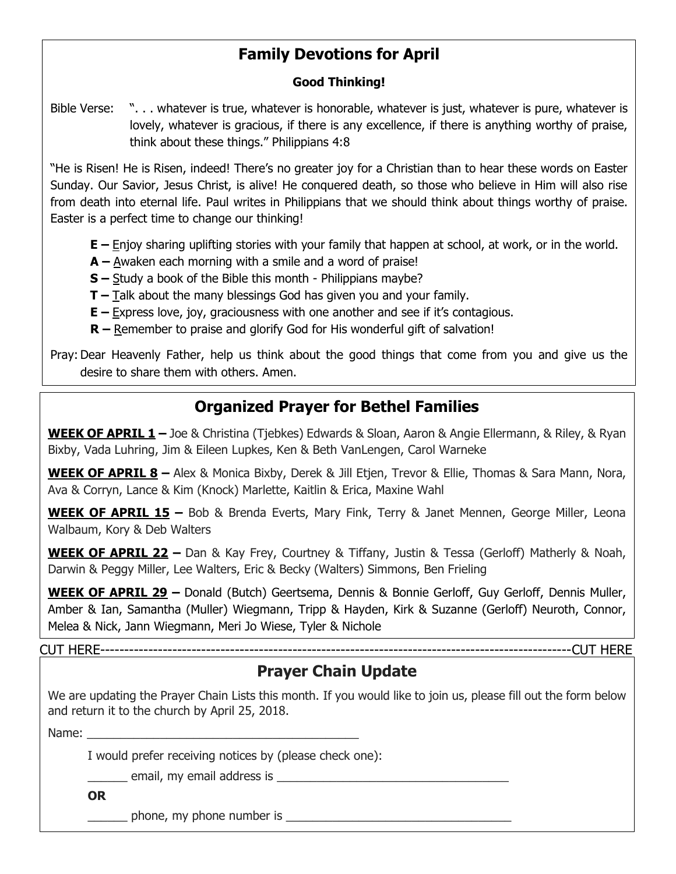# **Family Devotions for April**

#### **Good Thinking!**

Bible Verse: ". . . whatever is true, whatever is honorable, whatever is just, whatever is pure, whatever is lovely, whatever is gracious, if there is any excellence, if there is anything worthy of praise, think about these things." Philippians 4:8

"He is Risen! He is Risen, indeed! There's no greater joy for a Christian than to hear these words on Easter Sunday. Our Savior, Jesus Christ, is alive! He conquered death, so those who believe in Him will also rise from death into eternal life. Paul writes in Philippians that we should think about things worthy of praise. Easter is a perfect time to change our thinking!

**E** – Enjoy sharing uplifting stories with your family that happen at school, at work, or in the world.

- **A –** Awaken each morning with a smile and a word of praise!
- **S –** Study a book of the Bible this month Philippians maybe?
- **T –** Talk about the many blessings God has given you and your family.
- **E –** Express love, joy, graciousness with one another and see if it's contagious.
- **R –** Remember to praise and glorify God for His wonderful gift of salvation!

Pray:Dear Heavenly Father, help us think about the good things that come from you and give us the desire to share them with others. Amen.

## **Organized Prayer for Bethel Families**

**WEEK OF APRIL 1 –** Joe & Christina (Tjebkes) Edwards & Sloan, Aaron & Angie Ellermann, & Riley, & Ryan Bixby, Vada Luhring, Jim & Eileen Lupkes, Ken & Beth VanLengen, Carol Warneke

**WEEK OF APRIL 8 –** Alex & Monica Bixby, Derek & Jill Etjen, Trevor & Ellie, Thomas & Sara Mann, Nora, Ava & Corryn, Lance & Kim (Knock) Marlette, Kaitlin & Erica, Maxine Wahl

**WEEK OF APRIL 15 –** Bob & Brenda Everts, Mary Fink, Terry & Janet Mennen, George Miller, Leona Walbaum, Kory & Deb Walters

**WEEK OF APRIL 22 –** Dan & Kay Frey, Courtney & Tiffany, Justin & Tessa (Gerloff) Matherly & Noah, Darwin & Peggy Miller, Lee Walters, Eric & Becky (Walters) Simmons, Ben Frieling

**WEEK OF APRIL 29 –** Donald (Butch) Geertsema, Dennis & Bonnie Gerloff, Guy Gerloff, Dennis Muller, Amber & Ian, Samantha (Muller) Wiegmann, Tripp & Hayden, Kirk & Suzanne (Gerloff) Neuroth, Connor, Melea & Nick, Jann Wiegmann, Meri Jo Wiese, Tyler & Nichole

CUT HERE--------------------------------------------------------------------------------------------------CUT HERE

#### **Prayer Chain Update**

We are updating the Prayer Chain Lists this month. If you would like to join us, please fill out the form below and return it to the church by April 25, 2018.

Name:

I would prefer receiving notices by (please check one):

 $\Box$  email, my email address is  $\Box$ 

**OR**

phone, my phone number is  $\Box$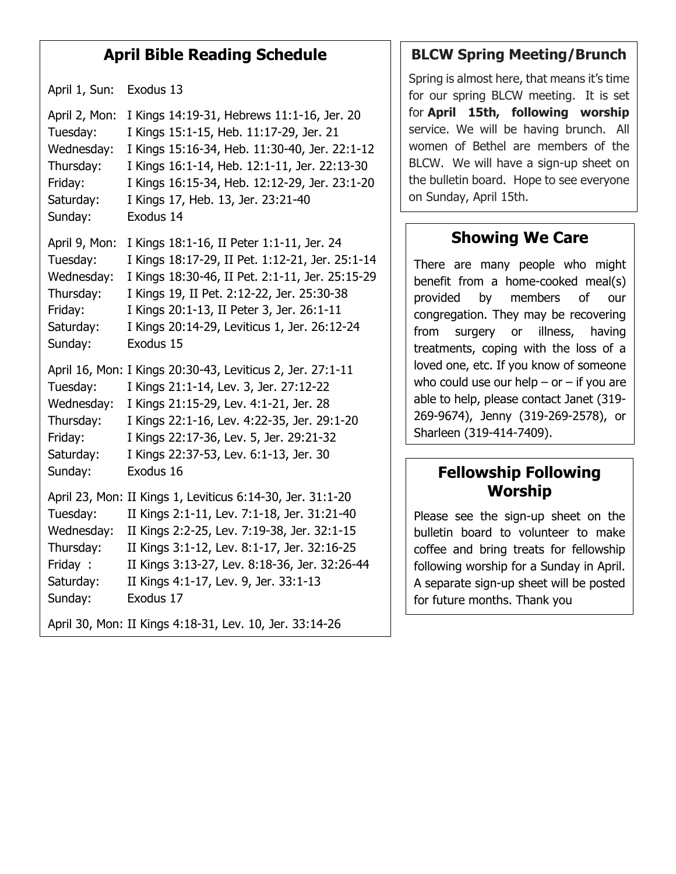#### **April Bible Reading Schedule**

April 1, Sun: Exodus 13

April 2, Mon: I Kings 14:19-31, Hebrews 11:1-16, Jer. 20 Tuesday: I Kings 15:1-15, Heb. 11:17-29, Jer. 21 Wednesday: I Kings 15:16-34, Heb. 11:30-40, Jer. 22:1-12 Thursday: I Kings 16:1-14, Heb. 12:1-11, Jer. 22:13-30 Friday: I Kings 16:15-34, Heb. 12:12-29, Jer. 23:1-20 Saturday: I Kings 17, Heb. 13, Jer. 23:21-40 Sunday: Exodus 14 April 9, Mon: I Kings 18:1-16, II Peter 1:1-11, Jer. 24 Tuesday: I Kings 18:17-29, II Pet. 1:12-21, Jer. 25:1-14 Wednesday: I Kings 18:30-46, II Pet. 2:1-11, Jer. 25:15-29 Thursday: I Kings 19, II Pet. 2:12-22, Jer. 25:30-38 Friday: I Kings 20:1-13, II Peter 3, Jer. 26:1-11 Saturday: I Kings 20:14-29, Leviticus 1, Jer. 26:12-24 Sunday: Exodus 15 April 16, Mon: I Kings 20:30-43, Leviticus 2, Jer. 27:1-11 Tuesday: I Kings 21:1-14, Lev. 3, Jer. 27:12-22 Wednesday: I Kings 21:15-29, Lev. 4:1-21, Jer. 28 Thursday: I Kings 22:1-16, Lev. 4:22-35, Jer. 29:1-20 Friday: I Kings 22:17-36, Lev. 5, Jer. 29:21-32 Saturday: I Kings 22:37-53, Lev. 6:1-13, Jer. 30 Sunday: Exodus 16 April 23, Mon: II Kings 1, Leviticus 6:14-30, Jer. 31:1-20 Tuesday: II Kings 2:1-11, Lev. 7:1-18, Jer. 31:21-40 Wednesday: II Kings 2:2-25, Lev. 7:19-38, Jer. 32:1-15 Thursday: II Kings 3:1-12, Lev. 8:1-17, Jer. 32:16-25 Friday : II Kings 3:13-27, Lev. 8:18-36, Jer. 32:26-44 Saturday: II Kings 4:1-17, Lev. 9, Jer. 33:1-13 Sunday: Exodus 17 April 30, Mon: II Kings 4:18-31, Lev. 10, Jer. 33:14-26

#### **BLCW Spring Meeting/Brunch**

Spring is almost here, that means it's time for our spring BLCW meeting. It is set for **April 15th, following worship** service. We will be having brunch. All women of Bethel are members of the BLCW. We will have a sign-up sheet on the bulletin board. Hope to see everyone on Sunday, April 15th.

#### **Showing We Care**

There are many people who might benefit from a home-cooked meal(s) provided by members of our congregation. They may be recovering from surgery or illness, having treatments, coping with the loss of a loved one, etc. If you know of someone who could use our help  $-$  or  $-$  if you are able to help, please contact Janet (319- 269-9674), Jenny (319-269-2578), or Sharleen (319-414-7409).

#### **Fellowship Following Worship**

Please see the sign-up sheet on the bulletin board to volunteer to make coffee and bring treats for fellowship following worship for a Sunday in April. A separate sign-up sheet will be posted for future months. Thank you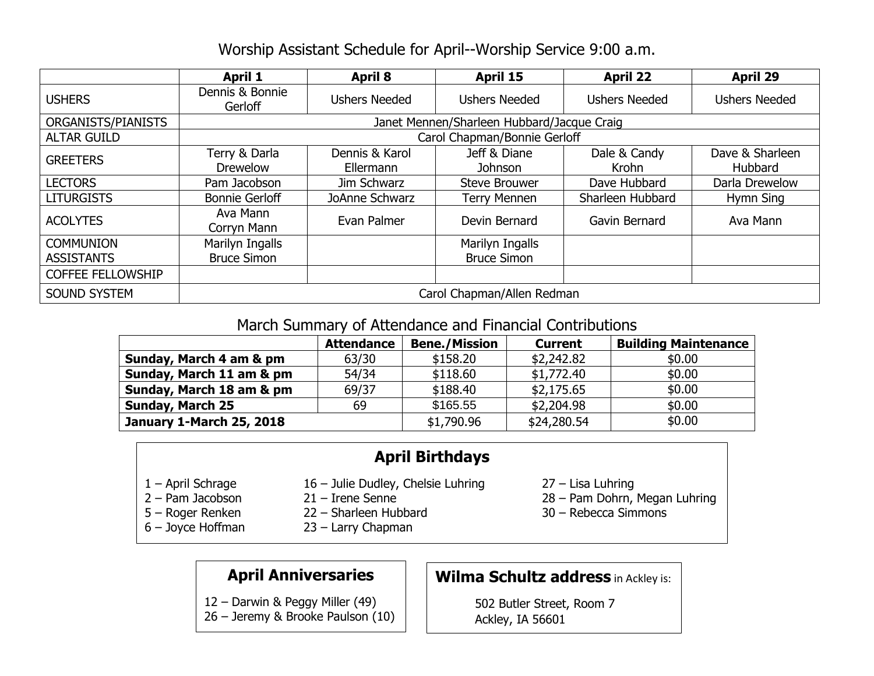#### Worship Assistant Schedule for April--Worship Service 9:00 a.m.

|                          | <b>April 1</b>                             | <b>April 8</b>              | April 15                | <b>April 22</b>       | <b>April 29</b>            |  |  |  |
|--------------------------|--------------------------------------------|-----------------------------|-------------------------|-----------------------|----------------------------|--|--|--|
| <b>USHERS</b>            | Dennis & Bonnie<br>Gerloff                 | <b>Ushers Needed</b>        | <b>Ushers Needed</b>    | <b>Ushers Needed</b>  | <b>Ushers Needed</b>       |  |  |  |
| ORGANISTS/PIANISTS       | Janet Mennen/Sharleen Hubbard/Jacque Craig |                             |                         |                       |                            |  |  |  |
| <b>ALTAR GUILD</b>       | Carol Chapman/Bonnie Gerloff               |                             |                         |                       |                            |  |  |  |
| <b>GREETERS</b>          | Terry & Darla<br><b>Drewelow</b>           | Dennis & Karol<br>Ellermann | Jeff & Diane<br>Johnson | Dale & Candy<br>Krohn | Dave & Sharleen<br>Hubbard |  |  |  |
| <b>LECTORS</b>           | Pam Jacobson                               | Jim Schwarz                 | <b>Steve Brouwer</b>    | Dave Hubbard          | Darla Drewelow             |  |  |  |
| <b>LITURGISTS</b>        | <b>Bonnie Gerloff</b>                      | JoAnne Schwarz              | <b>Terry Mennen</b>     | Sharleen Hubbard      | Hymn Sing                  |  |  |  |
| <b>ACOLYTES</b>          | Ava Mann<br>Corryn Mann                    | Evan Palmer                 | Devin Bernard           | Gavin Bernard         | Ava Mann                   |  |  |  |
| <b>COMMUNION</b>         | Marilyn Ingalls                            |                             | Marilyn Ingalls         |                       |                            |  |  |  |
| <b>ASSISTANTS</b>        | <b>Bruce Simon</b>                         |                             | <b>Bruce Simon</b>      |                       |                            |  |  |  |
| <b>COFFEE FELLOWSHIP</b> |                                            |                             |                         |                       |                            |  |  |  |
| <b>SOUND SYSTEM</b>      | Carol Chapman/Allen Redman                 |                             |                         |                       |                            |  |  |  |

#### March Summary of Attendance and Financial Contributions

| <b>Attendance</b> | <b>Bene./Mission</b> | <b>Current</b> | <b>Building Maintenance</b> |  |  |  |
|-------------------|----------------------|----------------|-----------------------------|--|--|--|
| 63/30             | \$158.20             | \$2,242.82     | \$0.00                      |  |  |  |
| 54/34             | \$118.60             | \$1,772.40     | \$0.00                      |  |  |  |
| 69/37             | \$188.40             | \$2,175.65     | \$0.00                      |  |  |  |
| 69                | \$165.55             | \$2,204.98     | \$0.00                      |  |  |  |
|                   | \$1,790.96           | \$24,280.54    | \$0.00                      |  |  |  |
|                   |                      |                |                             |  |  |  |

## **April Birthdays**

1 – April Schrage 16 – Julie Dudley, Chelsie Luhring 27 – Lisa Luhring

 $\overline{a}$ 

- -
- 
- 6 Joyce Hoffman 23 Larry Chapman
- 
- 2 Pam Jacobson 21 Irene Senne 28 Pam Dohrn, Megan Luhring
- 5 Roger Renken 22 Sharleen Hubbard 30 Rebecca Simmons

#### **April Anniversaries**

12 – Darwin & Peggy Miller (49)

26 – Jeremy & Brooke Paulson (10)

# **Wilma Schultz address** in Ackley is:

502 Butler Street, Room 7 Ackley, IA 56601